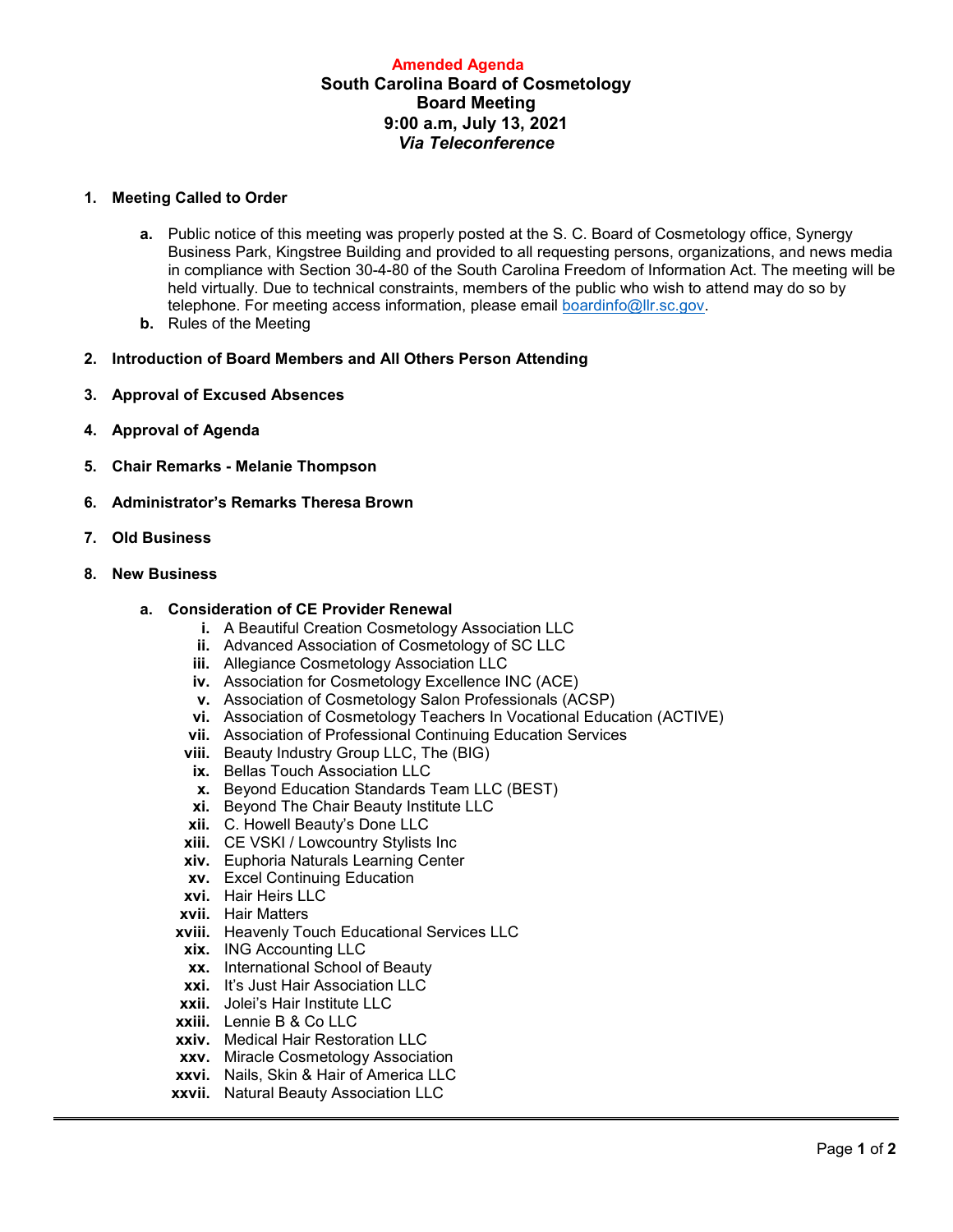# **Amended Agenda South Carolina Board of Cosmetology Board Meeting 9:00 a.m, July 13, 2021** *Via Teleconference*

### **1. Meeting Called to Order**

- **a.** Public notice of this meeting was properly posted at the S. C. Board of Cosmetology office, Synergy Business Park, Kingstree Building and provided to all requesting persons, organizations, and news media in compliance with Section 30-4-80 of the South Carolina Freedom of Information Act. The meeting will be held virtually. Due to technical constraints, members of the public who wish to attend may do so by telephone. For meeting access information, please email [boardinfo@llr.sc.gov.](mailto:boardinfo@llr.sc.gov)
- **b.** Rules of the Meeting
- **2. Introduction of Board Members and All Others Person Attending**
- **3. Approval of Excused Absences**
- **4. Approval of Agenda**
- **5. Chair Remarks - Melanie Thompson**
- **6. Administrator's Remarks Theresa Brown**
- **7. Old Business**

### **8. New Business**

### **a. Consideration of CE Provider Renewal**

- **i.** A Beautiful Creation Cosmetology Association LLC
- **ii.** Advanced Association of Cosmetology of SC LLC
- **iii.** Allegiance Cosmetology Association LLC
- **iv.** Association for Cosmetology Excellence INC (ACE)
- **v.** Association of Cosmetology Salon Professionals (ACSP)
- **vi.** Association of Cosmetology Teachers In Vocational Education (ACTIVE)
- **vii.** Association of Professional Continuing Education Services
- **viii.** Beauty Industry Group LLC, The (BIG)
- **ix.** Bellas Touch Association LLC
- **x.** Beyond Education Standards Team LLC (BEST)
- **xi.** Beyond The Chair Beauty Institute LLC
- **xii.** C. Howell Beauty's Done LLC
- **xiii.** CE VSKI / Lowcountry Stylists Inc
- **xiv.** Euphoria Naturals Learning Center
- **xv.** Excel Continuing Education
- **xvi.** Hair Heirs LLC
- **xvii.** Hair Matters
- **xviii.** Heavenly Touch Educational Services LLC
- **xix.** ING Accounting LLC
- **xx.** International School of Beauty
- **xxi.** It's Just Hair Association LLC
- **xxii.** Jolei's Hair Institute LLC
- **xxiii.** Lennie B & Co LLC
- **xxiv.** Medical Hair Restoration LLC
- **xxv.** Miracle Cosmetology Association
- **xxvi.** Nails, Skin & Hair of America LLC
- **xxvii.** Natural Beauty Association LLC